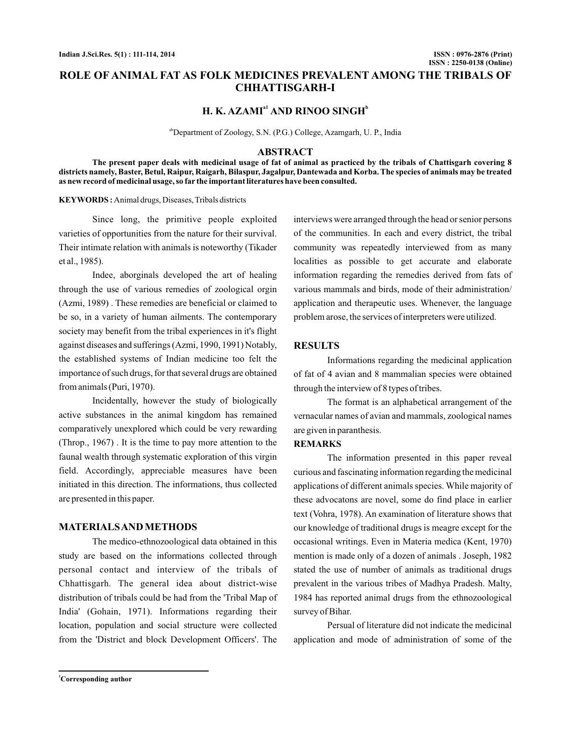# **ROLE OF ANIMAL FAT AS FOLK MEDICINES PREVALENT AMONG THE TRIBALS OF CHHATTISGARH-I**

# **H. K. AZAMI<sup>** $a1$ **</sup> AND RINOO SINGH<sup>** $b$ **</sup>**

abDepartment of Zoology, S.N. (P.G.) College, Azamgarh, U. P., India

#### **ABSTRACT**

**The present paper deals with medicinal usage of fat of animal as practiced by the tribals of Chattisgarh covering 8 districts namely, Baster, Betul, Raipur, Raigarh, Bilaspur, Jagalpur, Dantewada and Korba. The species of animals may be treated as new record of medicinal usage, so far the important literatures have been consulted.**

#### **KEYWORDS :** Animal drugs, Diseases, Tribals districts

Since long, the primitive people exploited varieties of opportunities from the nature for their survival. Their intimate relation with animals is noteworthy (Tikader et al., 1985).

Indee, aborginals developed the art of healing through the use of various remedies of zoological orgin (Azmi, 1989) . These remedies are beneficial or claimed to be so, in a variety of human ailments. The contemporary society may benefit from the tribal experiences in it's flight against diseases and sufferings (Azmi, 1990, 1991) Notably, the established systems of Indian medicine too felt the importance of such drugs, for that several drugs are obtained from animals (Puri, 1970).

Incidentally, however the study of biologically active substances in the animal kingdom has remained comparatively unexplored which could be very rewarding (Throp., 1967) . It is the time to pay more attention to the faunal wealth through systematic exploration of this virgin field. Accordingly, appreciable measures have been initiated in this direction. The informations, thus collected are presented in this paper.

#### **MATERIALSAND METHODS**

The medico-ethnozoological data obtained in this study are based on the informations collected through personal contact and interview of the tribals of Chhattisgarh. The general idea about district-wise distribution of tribals could be had from the 'Tribal Map of India' (Gohain, 1971). Informations regarding their location, population and social structure were collected from the 'District and block Development Officers'. The interviews were arranged through the head or senior persons of the communities. In each and every district, the tribal community was repeatedly interviewed from as many localities as possible to get accurate and elaborate information regarding the remedies derived from fats of various mammals and birds, mode of their administration/ application and therapeutic uses. Whenever, the language problem arose, the services of interpreters were utilized.

# **RESULTS**

Informations regarding the medicinal application of fat of 4 avian and 8 mammalian species were obtained through the interview of 8 types of tribes.

The format is an alphabetical arrangement of the vernacular names of avian and mammals, zoological names are given in paranthesis.

## **REMARKS**

The information presented in this paper reveal curious and fascinating information regarding the medicinal applications of different animals species. While majority of these advocatons are novel, some do find place in earlier text (Vohra, 1978). An examination of literature shows that our knowledge of traditional drugs is meagre except for the occasional writings. Even in Materia medica (Kent, 1970) mention is made only of a dozen of animals . Joseph, 1982 stated the use of number of animals as traditional drugs prevalent in the various tribes of Madhya Pradesh. Malty, 1984 has reported animal drugs from the ethnozoological survey of Bihar.

Persual of literature did not indicate the medicinal application and mode of administration of some of the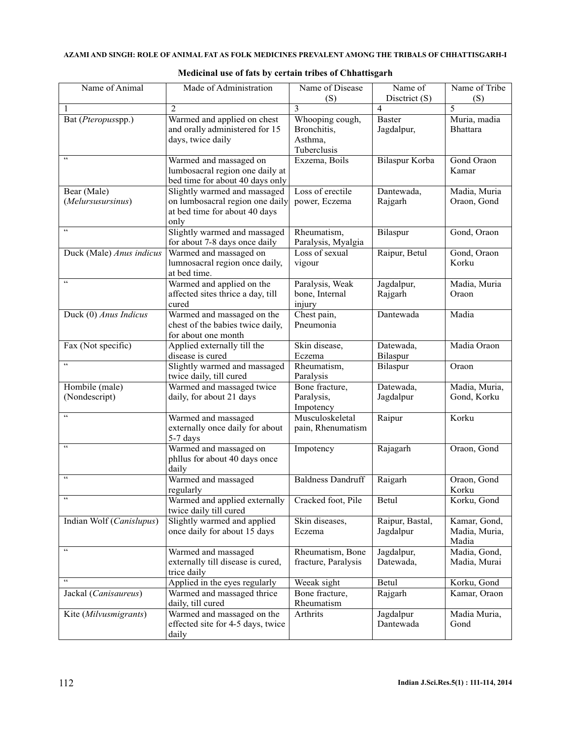| Name of Animal                           | Made of Administration                                                                                   | Name of Disease<br>(S)                                   | Name of<br>Disctrict (S)     | Name of Tribe<br>(S)                   |
|------------------------------------------|----------------------------------------------------------------------------------------------------------|----------------------------------------------------------|------------------------------|----------------------------------------|
| 1                                        | $\overline{2}$                                                                                           | 3                                                        | $\overline{4}$               | 5                                      |
| Bat (Pteropusspp.)                       | Warmed and applied on chest<br>and orally administered for 15<br>days, twice daily                       | Whooping cough,<br>Bronchitis,<br>Asthma,<br>Tuberclusis | <b>Baster</b><br>Jagdalpur,  | Muria, madia<br><b>Bhattara</b>        |
| $\zeta$ $\zeta$                          | Warmed and massaged on<br>lumbosacral region one daily at<br>bed time for about 40 days only             | Exzema, Boils                                            | Bilaspur Korba               | Gond Oraon<br>Kamar                    |
| Bear (Male)<br>(Melursusursinus)         | Slightly warmed and massaged<br>on lumbosacral region one daily<br>at bed time for about 40 days<br>only | Loss of erectile<br>power, Eczema                        | Dantewada,<br>Rajgarh        | Madia, Muria<br>Oraon, Gond            |
| $\zeta$ $\zeta$                          | Slightly warmed and massaged<br>for about 7-8 days once daily                                            | Rheumatism,<br>Paralysis, Myalgia                        | Bilaspur                     | Gond, Oraon                            |
| Duck (Male) Anus indicus                 | Warmed and massaged on<br>lumnosacral region once daily,<br>at bed time.                                 | Loss of sexual<br>vigour                                 | Raipur, Betul                | Gond, Oraon<br>Korku                   |
| $\zeta$ $\zeta$                          | Warmed and applied on the<br>affected sites thrice a day, till<br>cured                                  | Paralysis, Weak<br>bone, Internal<br>injury              | Jagdalpur,<br>Rajgarh        | Madia, Muria<br>Oraon                  |
| Duck (0) Anus Indicus                    | Warmed and massaged on the<br>chest of the babies twice daily,<br>for about one month                    | Chest pain,<br>Pneumonia                                 | Dantewada                    | Madia                                  |
| Fax (Not specific)                       | Applied externally till the<br>disease is cured                                                          | Skin disease,<br>Eczema                                  | Datewada,<br>Bilaspur        | Madia Oraon                            |
| $\epsilon$                               | Slightly warmed and massaged<br>twice daily, till cured                                                  | Rheumatism,<br>Paralysis                                 | Bilaspur                     | Oraon                                  |
| Hombile (male)<br>(Nondescript)          | Warmed and massaged twice<br>daily, for about 21 days                                                    | Bone fracture,<br>Paralysis,<br>Impotency                | Datewada,<br>Jagdalpur       | Madia, Muria,<br>Gond, Korku           |
| $\epsilon$                               | Warmed and massaged<br>externally once daily for about<br>5-7 days                                       | Musculoskeletal<br>pain, Rhenumatism                     | Raipur                       | Korku                                  |
| $\epsilon\epsilon$                       | Warmed and massaged on<br>phllus for about 40 days once<br>daily                                         | Impotency                                                | Rajagarh                     | Oraon, Gond                            |
| $\zeta$ $\zeta$<br>$\epsilon\, \epsilon$ | Warmed and massaged<br>regularly                                                                         | <b>Baldness Dandruff</b>                                 | Raigarh                      | Oraon, Gond<br>Korku                   |
|                                          | Warmed and applied externally<br>twice daily till cured                                                  | Cracked foot, Pile                                       | Betul                        | Korku, Gond                            |
| Indian Wolf (Canislupus)                 | Slightly warmed and applied<br>once daily for about 15 days                                              | Skin diseases,<br>Eczema                                 | Raipur, Bastal,<br>Jagdalpur | Kamar, Gond,<br>Madia, Muria,<br>Madia |
| $\zeta\,\zeta$                           | Warmed and massaged<br>externally till disease is cured,<br>trice daily                                  | Rheumatism, Bone<br>fracture, Paralysis                  | Jagdalpur,<br>Datewada,      | Madia, Gond,<br>Madia, Murai           |
| $\epsilon$ $\epsilon$                    | Applied in the eyes regularly                                                                            | Weeak sight                                              | Betul                        | Korku, Gond                            |
| Jackal (Canisaureus)                     | Warmed and massaged thrice<br>daily, till cured                                                          | Bone fracture,<br>Rheumatism                             | Rajgarh                      | Kamar, Oraon                           |
| Kite (Milvusmigrants)                    | Warmed and massaged on the<br>effected site for 4-5 days, twice<br>daily                                 | Arthrits                                                 | Jagdalpur<br>Dantewada       | Madia Muria,<br>Gond                   |

### **Medicinal use of fats by certain tribes of Chhattisgarh**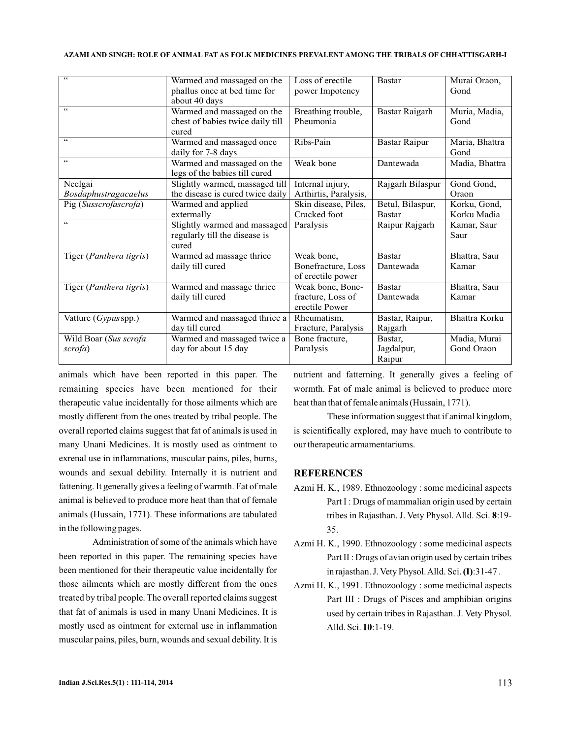#### **AZAMI SINGH: ROLE OF ANIMAL FAT AS FOLK MEDICINES PREVALENT AMONG THE TRIBALS OF CHHATTISGARH-I AND**

| $\epsilon$               | Warmed and massaged on the       | Loss of erectile      | <b>Bastar</b>        | Murai Oraon,         |
|--------------------------|----------------------------------|-----------------------|----------------------|----------------------|
|                          | phallus once at bed time for     | power Impotency       |                      | Gond                 |
|                          | about 40 days                    |                       |                      |                      |
| $\zeta$ $\zeta$          | Warmed and massaged on the       | Breathing trouble,    | Bastar Raigarh       | Muria, Madia,        |
|                          | chest of babies twice daily till | Pheumonia             |                      | Gond                 |
|                          | cured                            |                       |                      |                      |
| $\zeta$ $\zeta$          | Warmed and massaged once         | Ribs-Pain             | <b>Bastar Raipur</b> | Maria, Bhattra       |
|                          | daily for 7-8 days               |                       |                      | Gond                 |
| $\mathbf{c}\,\mathbf{c}$ | Warmed and massaged on the       | Weak bone             | Dantewada            | Madia, Bhattra       |
|                          | legs of the babies till cured    |                       |                      |                      |
| Neelgai                  | Slightly warmed, massaged till   | Internal injury,      | Rajgarh Bilaspur     | Gond Gond,           |
| Bosdaphustragacaelus     | the disease is cured twice daily | Arthirtis, Paralysis, |                      | Oraon                |
| Pig (Susscrofascrofa)    | Warmed and applied               | Skin disease, Piles,  | Betul, Bilaspur,     | Korku, Gond,         |
|                          | extermally                       | Cracked foot          | <b>Bastar</b>        | Korku Madia          |
| $\zeta$ $\zeta$          | Slightly warmed and massaged     | Paralysis             | Raipur Rajgarh       | Kamar, Saur          |
|                          | regularly till the disease is    |                       |                      | Saur                 |
|                          | cured                            |                       |                      |                      |
| Tiger (Panthera tigris)  | Warmed ad massage thrice         | Weak bone,            | <b>Bastar</b>        | Bhattra, Saur        |
|                          | daily till cured                 | Bonefracture, Loss    | Dantewada            | Kamar                |
|                          |                                  | of erectile power     |                      |                      |
| Tiger (Panthera tigris)  | Warmed and massage thrice        | Weak bone, Bone-      | <b>Bastar</b>        | Bhattra, Saur        |
|                          | daily till cured                 | fracture, Loss of     | Dantewada            | Kamar                |
|                          |                                  | erectile Power        |                      |                      |
| Vatture (Gypus spp.)     | Warmed and massaged thrice a     | Rheumatism.           | Bastar, Raipur,      | <b>Bhattra Korku</b> |
|                          | day till cured                   | Fracture, Paralysis   | Rajgarh              |                      |
| Wild Boar (Sus scrofa    | Warmed and massaged twice a      | Bone fracture,        | Bastar,              | Madia, Murai         |
| scrofa)                  | day for about 15 day             | Paralysis             | Jagdalpur,           | Gond Oraon           |
|                          |                                  |                       | Raipur               |                      |

animals which have been reported in this paper. The remaining species have been mentioned for their therapeutic value incidentally for those ailments which are mostly different from the ones treated by tribal people. The overall reported claims suggest that fat of animals is used in many Unani Medicines. It is mostly used as ointment to exrenal use in inflammations, muscular pains, piles, burns, wounds and sexual debility. Internally it is nutrient and fattening. It generally gives a feeling of warmth. Fat of male animal is believed to produce more heat than that of female animals (Hussain, 1771). These informations are tabulated in the following pages.

Administration of some of the animals which have been reported in this paper. The remaining species have been mentioned for their therapeutic value incidentally for those ailments which are mostly different from the ones treated by tribal people. The overall reported claims suggest that fat of animals is used in many Unani Medicines. It is mostly used as ointment for external use in inflammation muscular pains, piles, burn, wounds and sexual debility. It is

nutrient and fatterning. It generally gives a feeling of wormth. Fat of male animal is believed to produce more heat than that of female animals (Hussain, 1771).

These information suggest that if animal kingdom, is scientifically explored, may have much to contribute to our therapeutic armamentariums.

#### **REFERENCES**

- Azmi H. K., 1989. Ethnozoology : some medicinal aspects Part I : Drugs of mammalian origin used by certain tribes in Rajasthan. J. Vety Physol. Alld. Sci. 8:19-35.
- Azmi H. K., 1990. Ethnozoology : some medicinal aspects Part II : Drugs of avian origin used by certain tribes in rajasthan. J. Vety Physol. Alld. Sci. (I):31-47.
- Azmi H. K., 1991. Ethnozoology : some medicinal aspects Part III : Drugs of Pisces and amphibian origins used by certain tribes in Rajasthan. J. Vety Physol. Alld. Sci. **10**:1-19.